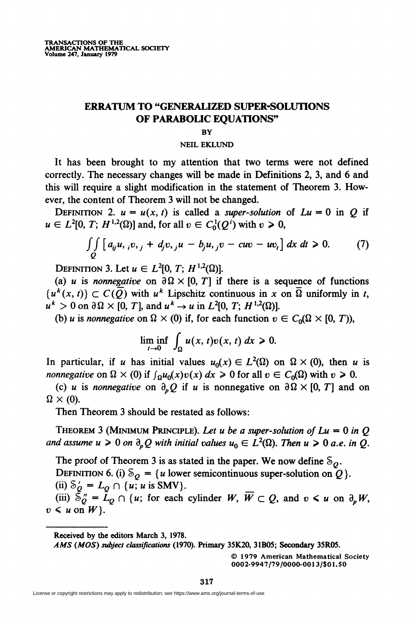## ERRATUM TO "GENERALIZED SUPER-SOLUTIONS OF PARABOLIC EQUATIONS"

## **BY**

## NEIL EKLUND

It has been brought to my attention that two terms were not defined correctly. The necessary changes will be made in Definitions 2, 3, and 6 and this will require a slight modification in the statement of Theorem 3. However, the content of Theorem 3 will not be changed.

DEFINITION 2.  $u = u(x, t)$  is called a super-solution of  $Lu = 0$  in Q if  $u \in L^2[0, T; H^{1,2}(\Omega)]$  and, for all  $v \in C_0^1(Q^i)$  with  $v \ge 0$ ,

$$
\iint\limits_{Q} [a_{ij}u, {}_{i}v, {}_{j} + d_{j}v, {}_{j}u - b_{j}u, {}_{j}v - cw - uv_{i}] dx dt \ge 0.
$$
 (7)

DEFINITION 3. Let  $u \in L^2[0, T; H^{1,2}(\Omega)].$ 

(a) u is nonnegative on  $\partial \Omega \times [0, T]$  if there is a sequence of functions  $\{u^k(x, t)\}\subset C(\overline{O})$  with  $u^k$  Lipschitz continuous in x on  $\overline{\Omega}$  uniformly in t,  $u^{k} > 0$  on  $\partial \Omega \times [0, T]$ , and  $u^{k} \rightarrow u$  in  $L^{2}[0, T; H^{1,2}(\Omega)]$ .

(b) u is nonnegative on  $\Omega \times (0)$  if, for each function  $v \in C_0(\Omega \times [0, T))$ ,

$$
\liminf_{t\to 0}\,\int_{\Omega}u(x,t)v(x,t)\,dx\geq 0.
$$

In particular, if u has initial values  $u_0(x) \in L^2(\Omega)$  on  $\Omega \times (0)$ , then u is *nonnegative* on  $\Omega \times (0)$  if  $\int_{\Omega} u_0(x)v(x) dx \ge 0$  for all  $v \in C_0(\Omega)$  with  $v \ge 0$ .

(c) u is nonnegative on  $\partial_{n}Q$  if u is nonnegative on  $\partial\Omega\times [0, T]$  and on  $\Omega \times (0)$ .

Then Theorem 3 should be restated as follows:

THEOREM 3 (MINIMUM PRINCIPLE). Let u be a super-solution of  $Lu = 0$  in O and assume  $u \ge 0$  on  $\partial_n Q$  with initial values  $u_0 \in L^2(\Omega)$ . Then  $u \ge 0$  a.e. in Q.

The proof of Theorem 3 is as stated in the paper. We now define  $\delta_{\theta}$ . DEFINITION 6. (i)  $\delta_{\mathcal{O}} = \{u \text{ lower semicontinuous super-solution on } Q\}.$ (ii)  $\delta'_{\mathcal{O}} = L_{\mathcal{O}} \cap \{u; u \text{ is SMV}\}.$ 

(iii)  $\bar{\mathcal{S}}''_0 = \bar{L}_0 \cap \{u; \text{ for each cylinder } W, \overline{W} \subset Q, \text{ and } v \leq u \text{ on } \partial_n W,$  $v \leq u$  on  $W$ .

Received by the editors March 3, 1978.

A MS (MOS) subject classifications (1970). Primary 35K20, 31B05; Secondary 35R05.

© 1979 American Mathematical Society 0002-9947/79/0000-0013/\$01.50